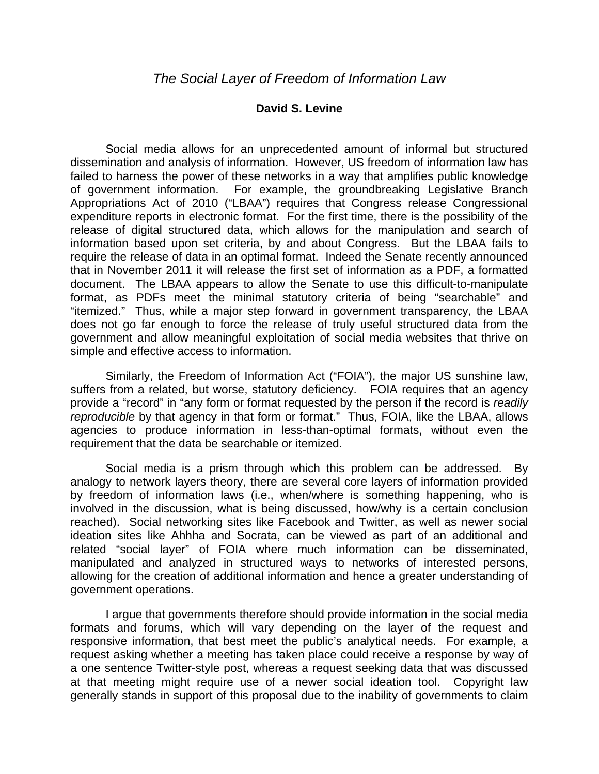## **David S. Levine**

 Social media allows for an unprecedented amount of informal but structured dissemination and analysis of information. However, US freedom of information law has failed to harness the power of these networks in a way that amplifies public knowledge of government information. For example, the groundbreaking Legislative Branch Appropriations Act of 2010 ("LBAA") requires that Congress release Congressional expenditure reports in electronic format. For the first time, there is the possibility of the release of digital structured data, which allows for the manipulation and search of information based upon set criteria, by and about Congress. But the LBAA fails to require the release of data in an optimal format. Indeed the Senate recently announced that in November 2011 it will release the first set of information as a PDF, a formatted document. The LBAA appears to allow the Senate to use this difficult-to-manipulate format, as PDFs meet the minimal statutory criteria of being "searchable" and "itemized." Thus, while a major step forward in government transparency, the LBAA does not go far enough to force the release of truly useful structured data from the government and allow meaningful exploitation of social media websites that thrive on simple and effective access to information.

 Similarly, the Freedom of Information Act ("FOIA"), the major US sunshine law, suffers from a related, but worse, statutory deficiency. FOIA requires that an agency provide a "record" in "any form or format requested by the person if the record is *readily reproducible* by that agency in that form or format." Thus, FOIA, like the LBAA, allows agencies to produce information in less-than-optimal formats, without even the requirement that the data be searchable or itemized.

 Social media is a prism through which this problem can be addressed. By analogy to network layers theory, there are several core layers of information provided by freedom of information laws (i.e., when/where is something happening, who is involved in the discussion, what is being discussed, how/why is a certain conclusion reached). Social networking sites like Facebook and Twitter, as well as newer social ideation sites like Ahhha and Socrata, can be viewed as part of an additional and related "social layer" of FOIA where much information can be disseminated, manipulated and analyzed in structured ways to networks of interested persons, allowing for the creation of additional information and hence a greater understanding of government operations.

 I argue that governments therefore should provide information in the social media formats and forums, which will vary depending on the layer of the request and responsive information, that best meet the public's analytical needs. For example, a request asking whether a meeting has taken place could receive a response by way of a one sentence Twitter-style post, whereas a request seeking data that was discussed at that meeting might require use of a newer social ideation tool. Copyright law generally stands in support of this proposal due to the inability of governments to claim